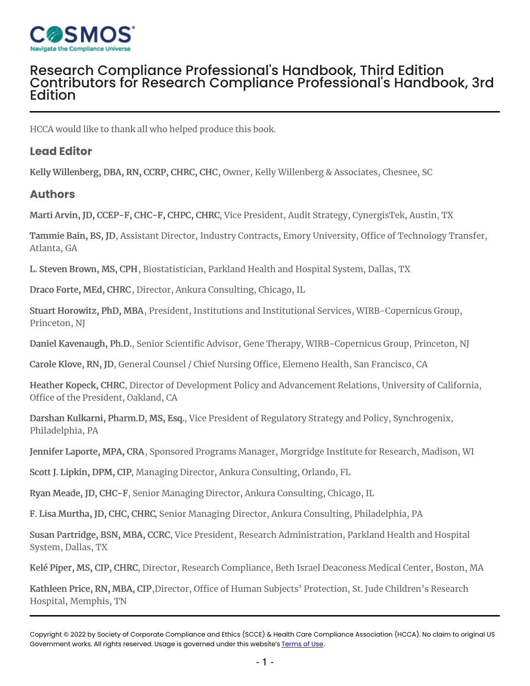

## Research Compliance [Professional's](https://stage.compliancecosmos.org/research-compliance-professionals-handbook-third-edition) Handbook, Third Edition Contributors for Research Compliance [Professional's](https://stage.compliancecosmos.org/contributors-research-compliance-professionals-handbook-3rd-edition) Handbook, 3rd Edition

HCCA would like to thank all who helped produce this book.

## **Lead Editor**

Kelly Willenberg, DBA, RN, CCRP, CHRC, CHC, Owner, Kelly Willenberg & Associates, Chesnee, SC

## **Authors**

Marti Arvin, JD, CCEP-F, CHC-F, CHPC, CHRC, Vice President, Audit Strategy, CynergisTek, Austin, TX

Tammie Bain, BS, JD, Assistant Director, Industry Contracts, Emory University, Office of Technology Transfer, Atlanta, GA

L. Steven Brown, MS, CPH, Biostatistician, Parkland Health and Hospital System, Dallas, TX

Draco Forte, MEd, CHRC, Director, Ankura Consulting, Chicago, IL

Stuart Horowitz, PhD, MBA, President, Institutions and Institutional Services, WIRB-Copernicus Group, Princeton, NJ

Daniel Kavenaugh, Ph.D., Senior Scientific Advisor, Gene Therapy, WIRB-Copernicus Group, Princeton, NJ

Carole Klove, RN, JD, General Counsel / Chief Nursing Office, Elemeno Health, San Francisco, CA

Heather Kopeck, CHRC, Director of Development Policy and Advancement Relations, University of California, Office of the President, Oakland, CA

Darshan Kulkarni, Pharm.D, MS, Esq., Vice President of Regulatory Strategy and Policy, Synchrogenix, Philadelphia, PA

Jennifer Laporte, MPA, CRA, Sponsored Programs Manager, Morgridge Institute for Research, Madison, WI

Scott J. Lipkin, DPM, CIP, Managing Director, Ankura Consulting, Orlando, FL

Ryan Meade, JD, CHC-F, Senior Managing Director, Ankura Consulting, Chicago, IL

F. Lisa Murtha, JD, CHC, CHRC, Senior Managing Director, Ankura Consulting, Philadelphia, PA

Susan Partridge, BSN, MBA, CCRC, Vice President, Research Administration, Parkland Health and Hospital System, Dallas, TX

Kelé Piper, MS, CIP, CHRC, Director, Research Compliance, Beth Israel Deaconess Medical Center, Boston, MA

Kathleen Price, RN, MBA, CIP,Director, Office of Human Subjects' Protection, St. Jude Children's Research Hospital, Memphis, TN

Copyright © 2022 by Society of Corporate Compliance and Ethics (SCCE) & Health Care Compliance Association (HCCA). No claim to original US Government works. All rights reserved. Usage is governed under this website's <u>Terms of Use</u>.